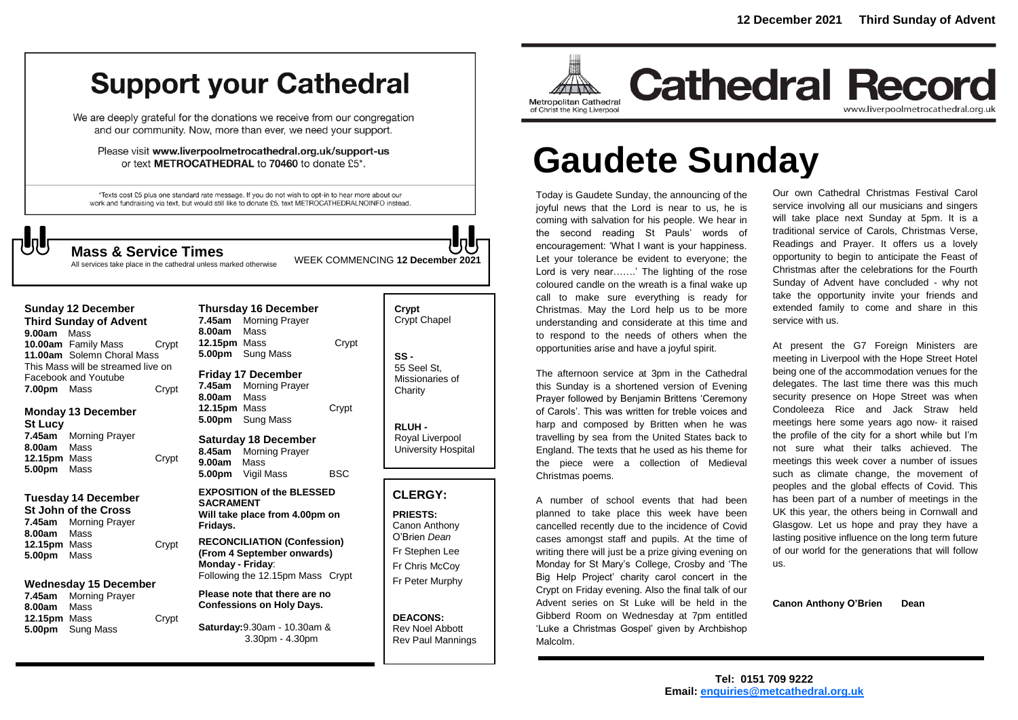# **Support your Cathedral**

We are deeply grateful for the donations we receive from our congregation and our community. Now, more than ever, we need your support.

Please visit www.liverpoolmetrocathedral.org.uk/support-us or text METROCATHEDRAL to 70460 to donate £5\*.

\*Texts cost £5 plus one standard rate message. If you do not wish to opt-in to hear more about our work and fundraising via text, but would still like to donate £5, text METROCATHEDRALNOINFO instead.

# ┧

**Mass & Service Times** WEEK COMMENCING **<sup>12</sup> December <sup>2021</sup>**

|                                    | <b>SUITURY TZ DECETTIVE</b> |       |  |
|------------------------------------|-----------------------------|-------|--|
| <b>Third Sunday of Advent</b>      |                             |       |  |
| 9.00am Mass                        |                             |       |  |
|                                    | 10.00am Family Mass         | Crvpt |  |
| 11.00am Solemn Choral Mass         |                             |       |  |
| This Mass will be streamed live on |                             |       |  |
|                                    | Facebook and Youtube        |       |  |
| 7.00pm Mass                        |                             | Crypt |  |

**Sunday 12 December** 

### **Monday 13 December St Lucy 7.45am** Morning Prayer **8.00am** Mass **12.15pm** Mass Crypt **5.00pm** Mass

## **Tuesday 14 December St John of the Cross**

**7.45am** Morning Prayer **8.00am** Mass **12.15pm** Mass Crypt **5.00pm** Mass

## **Wednesday 15 December**

**7.45am** Morning Prayer **8.00am** Mass 12.15pm Mass Crypt **5.00pm** Sung Mass

| <b>Thursday 16 December</b><br>7.45am<br><b>Morning Prayer</b><br>Mass<br>8.00am<br>12.15pm Mass<br>5.00pm Sung Mass     | Crypt      |  |
|--------------------------------------------------------------------------------------------------------------------------|------------|--|
| <b>Friday 17 December</b><br>7.45am<br><b>Morning Prayer</b><br>8.00am<br>Mass<br>12.15pm Mass<br>5.00pm Sung Mass       | Crypt      |  |
| <b>Saturday 18 December</b><br>8.45am<br><b>Morning Prayer</b><br>Mass<br>9.00am<br>5.00pm Vigil Mass                    | <b>BSC</b> |  |
| <b>EXPOSITION of the BLESSED</b><br><b>SACRAMENT</b><br>Will take place from 4.00pm on<br>Fridays.                       |            |  |
| <b>RECONCILIATION (Confession)</b><br>(From 4 September onwards)<br>Monday - Friday:<br>Following the 12.15pm Mass Crypt |            |  |
| Please note that there are no<br><b>Confessions on Holy Days.</b>                                                        |            |  |
| Saturday: 9.30am - 10.30am &<br>3.30pm - 4.30pm                                                                          |            |  |
|                                                                                                                          |            |  |

| Crypt<br><b>Crypt Chapel</b>                      |
|---------------------------------------------------|
| SS -<br>55 Seel St.<br>Missionaries of<br>Charity |

**RLUH -** Royal Liverpool University Hospital

## **CLERGY:**

**PRIESTS:** Canon Anthony O'Brien *Dean* Fr Stephen Lee Fr Chris McCoy Fr Peter Murphy

**DEACONS:** Rev Noel Abbott Rev Paul Mannings



## **Cathedral Record** www.liverpoolmetrocathedral.org.uk

# **Gaudete Sunday**

Today is Gaudete Sunday, the announcing of the joyful news that the Lord is near to us, he is coming with salvation for his people. We hear in the second reading St Pauls' words of encouragement: 'What I want is your happiness. Let your tolerance be evident to everyone; the Lord is very near…….' The lighting of the rose coloured candle on the wreath is a final wake up call to make sure everything is ready for Christmas. May the Lord help us to be more understanding and considerate at this time and to respond to the needs of others when the opportunities arise and have a joyful spirit. **Mass & Service Times**<br>All services take place in the cathedral unless marked otherwise WEEK COMMENCING 12 December 2021 Let your tolerance be evident to everyone; the

> The afternoon service at 3pm in the Cathedral this Sunday is a shortened version of Evening Prayer followed by Benjamin Brittens 'Ceremony of Carols'. This was written for treble voices and harp and composed by Britten when he was travelling by sea from the United States back to England. The texts that he used as his theme for the piece were a collection of Medieval Christmas poems.

> A number of school events that had been planned to take place this week have been cancelled recently due to the incidence of Covid cases amongst staff and pupils. At the time of writing there will just be a prize giving evening on Monday for St Mary's College, Crosby and 'The Big Help Project' charity carol concert in the Crypt on Friday evening. Also the final talk of our Advent series on St Luke will be held in the Gibberd Room on Wednesday at 7pm entitled 'Luke a Christmas Gospel' given by Archbishop Malcolm.

Our own Cathedral Christmas Festival Carol service involving all our musicians and singers will take place next Sunday at 5pm. It is a traditional service of Carols, Christmas Verse, Readings and Prayer. It offers us a lovely opportunity to begin to anticipate the Feast of Christmas after the celebrations for the Fourth Sunday of Advent have concluded - why not take the opportunity invite your friends and extended family to come and share in this service with us.

At present the G7 Foreign Ministers are meeting in Liverpool with the Hope Street Hotel being one of the accommodation venues for the delegates. The last time there was this much security presence on Hope Street was when Condoleeza Rice and Jack Straw held meetings here some years ago now- it raised the profile of the city for a short while but I'm not sure what their talks achieved. The meetings this week cover a number of issues such as climate change, the movement of peoples and the global effects of Covid. This has been part of a number of meetings in the UK this year, the others being in Cornwall and Glasgow. Let us hope and pray they have a lasting positive influence on the long term future of our world for the generations that will follow us.

**Canon Anthony O'Brien Dean**